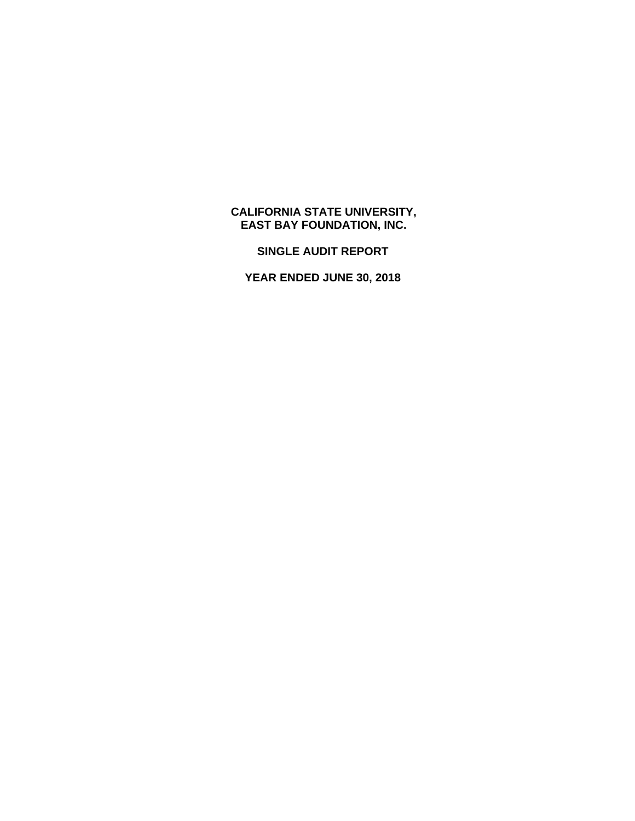# **CALIFORNIA STATE UNIVERSITY, EAST BAY FOUNDATION, INC.**

**SINGLE AUDIT REPORT** 

**YEAR ENDED JUNE 30, 2018**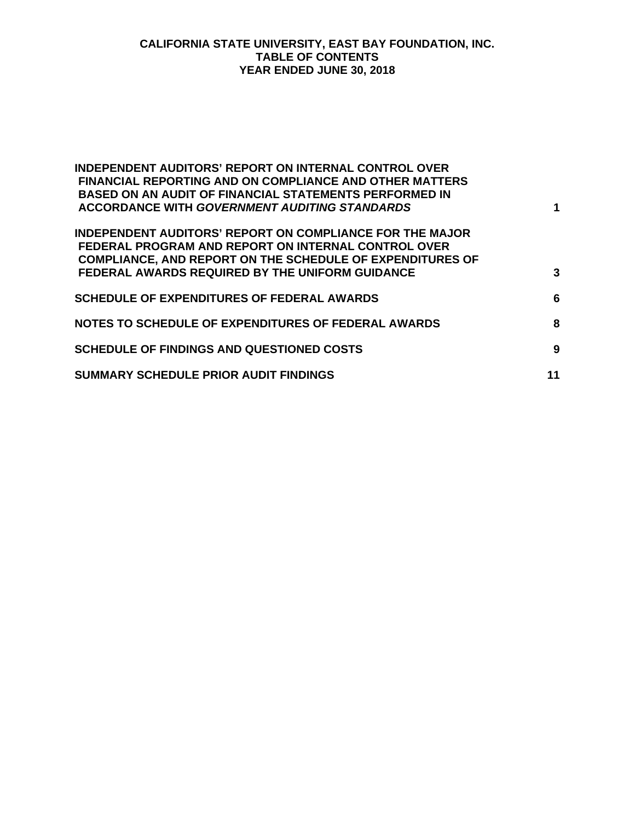### **CALIFORNIA STATE UNIVERSITY, EAST BAY FOUNDATION, INC. TABLE OF CONTENTS YEAR ENDED JUNE 30, 2018**

| <b>INDEPENDENT AUDITORS' REPORT ON INTERNAL CONTROL OVER</b><br><b>FINANCIAL REPORTING AND ON COMPLIANCE AND OTHER MATTERS</b><br><b>BASED ON AN AUDIT OF FINANCIAL STATEMENTS PERFORMED IN</b><br><b>ACCORDANCE WITH GOVERNMENT AUDITING STANDARDS</b> | 1  |
|---------------------------------------------------------------------------------------------------------------------------------------------------------------------------------------------------------------------------------------------------------|----|
| <b>INDEPENDENT AUDITORS' REPORT ON COMPLIANCE FOR THE MAJOR</b><br><b>FEDERAL PROGRAM AND REPORT ON INTERNAL CONTROL OVER</b><br><b>COMPLIANCE, AND REPORT ON THE SCHEDULE OF EXPENDITURES OF</b><br>FEDERAL AWARDS REQUIRED BY THE UNIFORM GUIDANCE    | 3  |
| <b>SCHEDULE OF EXPENDITURES OF FEDERAL AWARDS</b>                                                                                                                                                                                                       | 6  |
| NOTES TO SCHEDULE OF EXPENDITURES OF FEDERAL AWARDS                                                                                                                                                                                                     | 8  |
| <b>SCHEDULE OF FINDINGS AND QUESTIONED COSTS</b>                                                                                                                                                                                                        | 9  |
| <b>SUMMARY SCHEDULE PRIOR AUDIT FINDINGS</b>                                                                                                                                                                                                            | 11 |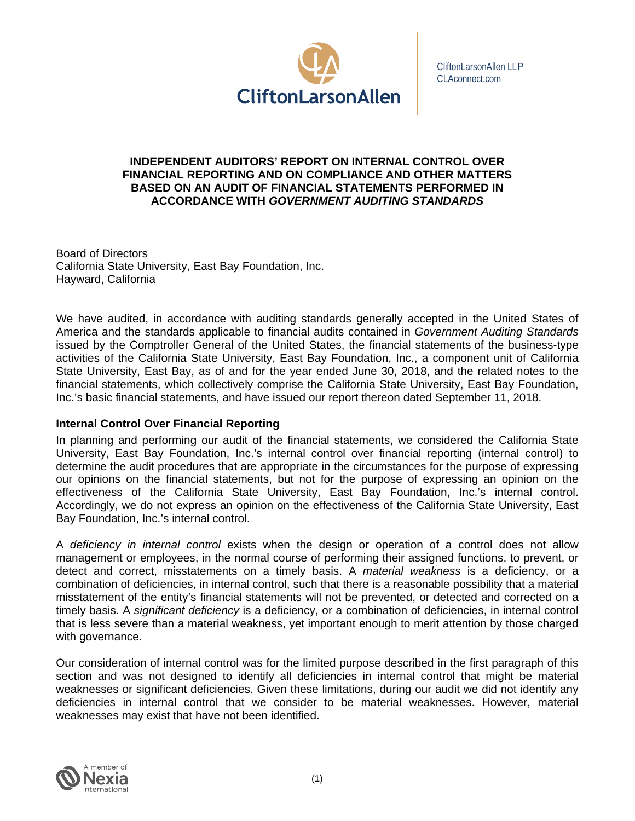

CliftonLarsonAllen LLP CLAconnect.com

#### **INDEPENDENT AUDITORS' REPORT ON INTERNAL CONTROL OVER FINANCIAL REPORTING AND ON COMPLIANCE AND OTHER MATTERS BASED ON AN AUDIT OF FINANCIAL STATEMENTS PERFORMED IN ACCORDANCE WITH** *GOVERNMENT AUDITING STANDARDS*

Board of Directors California State University, East Bay Foundation, Inc. Hayward, California

We have audited, in accordance with auditing standards generally accepted in the United States of America and the standards applicable to financial audits contained in *Government Auditing Standards*  issued by the Comptroller General of the United States, the financial statements of the business-type activities of the California State University, East Bay Foundation, Inc., a component unit of California State University, East Bay, as of and for the year ended June 30, 2018, and the related notes to the financial statements, which collectively comprise the California State University, East Bay Foundation, Inc.'s basic financial statements, and have issued our report thereon dated September 11, 2018.

## **Internal Control Over Financial Reporting**

In planning and performing our audit of the financial statements, we considered the California State University, East Bay Foundation, Inc.'s internal control over financial reporting (internal control) to determine the audit procedures that are appropriate in the circumstances for the purpose of expressing our opinions on the financial statements, but not for the purpose of expressing an opinion on the effectiveness of the California State University, East Bay Foundation, Inc.'s internal control. Accordingly, we do not express an opinion on the effectiveness of the California State University, East Bay Foundation, Inc.'s internal control.

A *deficiency in internal control* exists when the design or operation of a control does not allow management or employees, in the normal course of performing their assigned functions, to prevent, or detect and correct, misstatements on a timely basis. A *material weakness* is a deficiency, or a combination of deficiencies, in internal control, such that there is a reasonable possibility that a material misstatement of the entity's financial statements will not be prevented, or detected and corrected on a timely basis. A *significant deficiency* is a deficiency, or a combination of deficiencies, in internal control that is less severe than a material weakness, yet important enough to merit attention by those charged with governance.

Our consideration of internal control was for the limited purpose described in the first paragraph of this section and was not designed to identify all deficiencies in internal control that might be material weaknesses or significant deficiencies. Given these limitations, during our audit we did not identify any deficiencies in internal control that we consider to be material weaknesses. However, material weaknesses may exist that have not been identified.

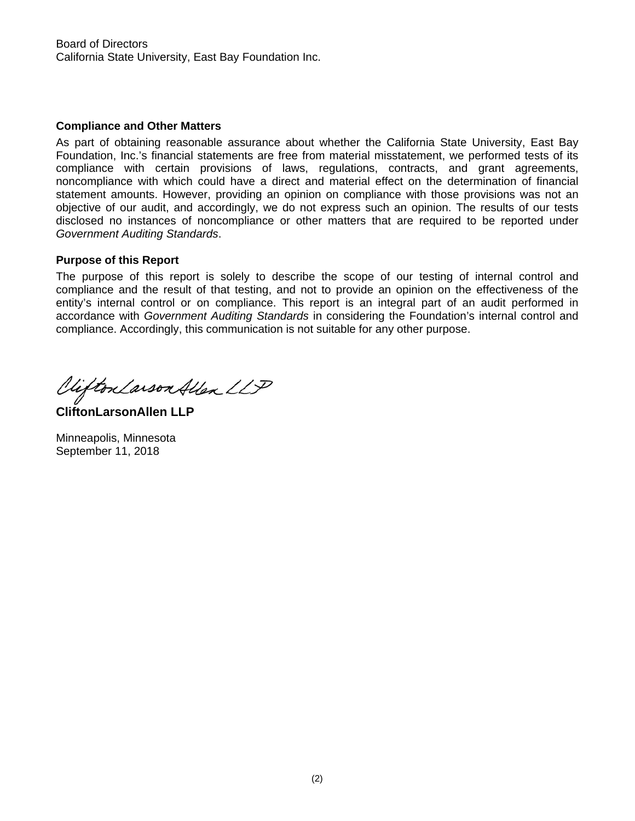#### **Compliance and Other Matters**

As part of obtaining reasonable assurance about whether the California State University, East Bay Foundation, Inc.'s financial statements are free from material misstatement, we performed tests of its compliance with certain provisions of laws, regulations, contracts, and grant agreements, noncompliance with which could have a direct and material effect on the determination of financial statement amounts. However, providing an opinion on compliance with those provisions was not an objective of our audit, and accordingly, we do not express such an opinion. The results of our tests disclosed no instances of noncompliance or other matters that are required to be reported under *Government Auditing Standards*.

#### **Purpose of this Report**

The purpose of this report is solely to describe the scope of our testing of internal control and compliance and the result of that testing, and not to provide an opinion on the effectiveness of the entity's internal control or on compliance. This report is an integral part of an audit performed in accordance with *Government Auditing Standards* in considering the Foundation's internal control and compliance. Accordingly, this communication is not suitable for any other purpose.

Viifton Larson Allen LLP

**CliftonLarsonAllen LLP** 

Minneapolis, Minnesota September 11, 2018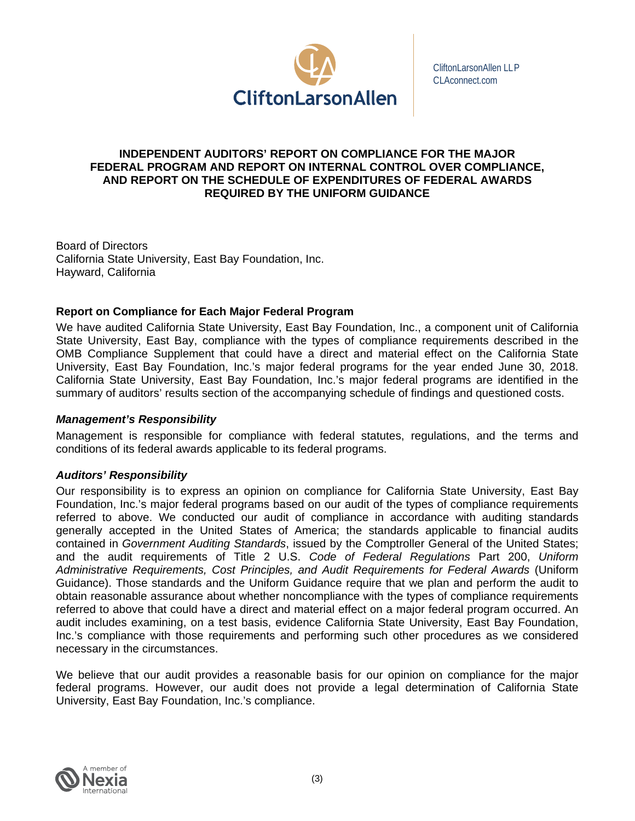

CliftonLarsonAllen LLP CLAconnect.com

#### **INDEPENDENT AUDITORS' REPORT ON COMPLIANCE FOR THE MAJOR FEDERAL PROGRAM AND REPORT ON INTERNAL CONTROL OVER COMPLIANCE, AND REPORT ON THE SCHEDULE OF EXPENDITURES OF FEDERAL AWARDS REQUIRED BY THE UNIFORM GUIDANCE**

Board of Directors California State University, East Bay Foundation, Inc. Hayward, California

## **Report on Compliance for Each Major Federal Program**

We have audited California State University, East Bay Foundation, Inc., a component unit of California State University, East Bay, compliance with the types of compliance requirements described in the OMB Compliance Supplement that could have a direct and material effect on the California State University, East Bay Foundation, Inc.'s major federal programs for the year ended June 30, 2018. California State University, East Bay Foundation, Inc.'s major federal programs are identified in the summary of auditors' results section of the accompanying schedule of findings and questioned costs.

#### *Management's Responsibility*

Management is responsible for compliance with federal statutes, regulations, and the terms and conditions of its federal awards applicable to its federal programs.

#### *Auditors' Responsibility*

Our responsibility is to express an opinion on compliance for California State University, East Bay Foundation, Inc.'s major federal programs based on our audit of the types of compliance requirements referred to above. We conducted our audit of compliance in accordance with auditing standards generally accepted in the United States of America; the standards applicable to financial audits contained in *Government Auditing Standards*, issued by the Comptroller General of the United States; and the audit requirements of Title 2 U.S. *Code of Federal Regulations* Part 200, *Uniform Administrative Requirements, Cost Principles, and Audit Requirements for Federal Awards* (Uniform Guidance). Those standards and the Uniform Guidance require that we plan and perform the audit to obtain reasonable assurance about whether noncompliance with the types of compliance requirements referred to above that could have a direct and material effect on a major federal program occurred. An audit includes examining, on a test basis, evidence California State University, East Bay Foundation, Inc.'s compliance with those requirements and performing such other procedures as we considered necessary in the circumstances.

We believe that our audit provides a reasonable basis for our opinion on compliance for the major federal programs. However, our audit does not provide a legal determination of California State University, East Bay Foundation, Inc.'s compliance.

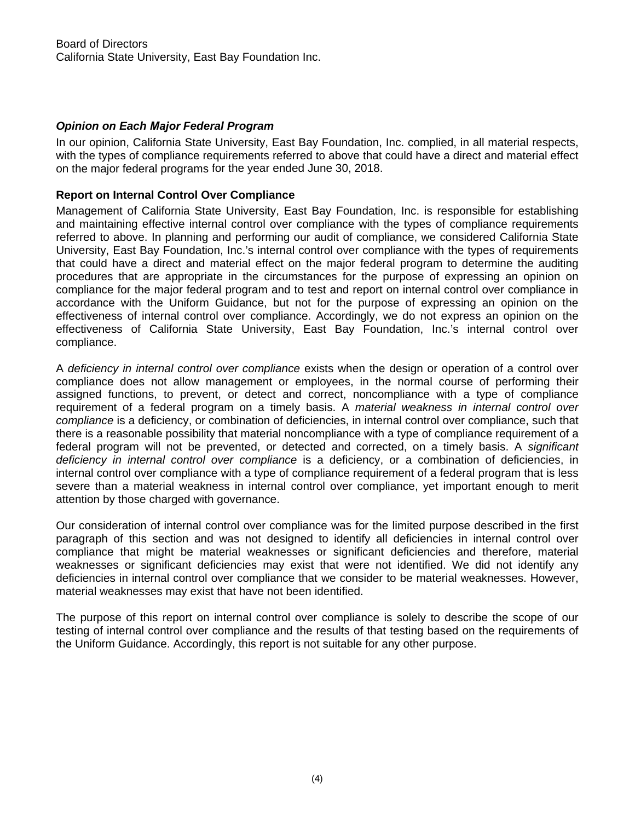# *Opinion on Each Major Federal Program*

In our opinion, California State University, East Bay Foundation, Inc. complied, in all material respects, with the types of compliance requirements referred to above that could have a direct and material effect on the major federal programs for the year ended June 30, 2018.

# **Report on Internal Control Over Compliance**

Management of California State University, East Bay Foundation, Inc. is responsible for establishing and maintaining effective internal control over compliance with the types of compliance requirements referred to above. In planning and performing our audit of compliance, we considered California State University, East Bay Foundation, Inc.'s internal control over compliance with the types of requirements that could have a direct and material effect on the major federal program to determine the auditing procedures that are appropriate in the circumstances for the purpose of expressing an opinion on compliance for the major federal program and to test and report on internal control over compliance in accordance with the Uniform Guidance, but not for the purpose of expressing an opinion on the effectiveness of internal control over compliance. Accordingly, we do not express an opinion on the effectiveness of California State University, East Bay Foundation, Inc.'s internal control over compliance.

A *deficiency in internal control over compliance* exists when the design or operation of a control over compliance does not allow management or employees, in the normal course of performing their assigned functions, to prevent, or detect and correct, noncompliance with a type of compliance requirement of a federal program on a timely basis. A *material weakness in internal control over compliance* is a deficiency, or combination of deficiencies, in internal control over compliance, such that there is a reasonable possibility that material noncompliance with a type of compliance requirement of a federal program will not be prevented, or detected and corrected, on a timely basis. A *significant deficiency in internal control over compliance* is a deficiency, or a combination of deficiencies, in internal control over compliance with a type of compliance requirement of a federal program that is less severe than a material weakness in internal control over compliance, yet important enough to merit attention by those charged with governance.

Our consideration of internal control over compliance was for the limited purpose described in the first paragraph of this section and was not designed to identify all deficiencies in internal control over compliance that might be material weaknesses or significant deficiencies and therefore, material weaknesses or significant deficiencies may exist that were not identified. We did not identify any deficiencies in internal control over compliance that we consider to be material weaknesses. However, material weaknesses may exist that have not been identified.

The purpose of this report on internal control over compliance is solely to describe the scope of our testing of internal control over compliance and the results of that testing based on the requirements of the Uniform Guidance. Accordingly, this report is not suitable for any other purpose.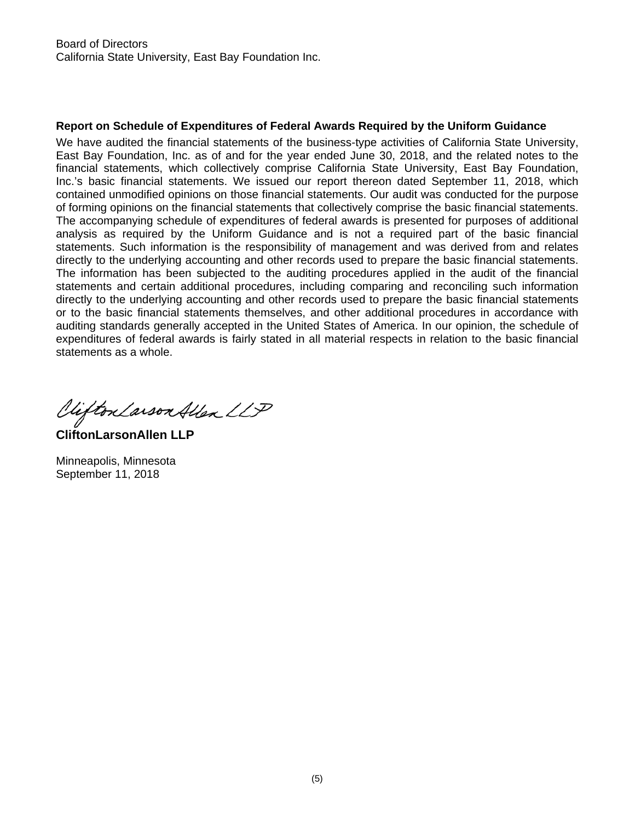## **Report on Schedule of Expenditures of Federal Awards Required by the Uniform Guidance**

We have audited the financial statements of the business-type activities of California State University, East Bay Foundation, Inc. as of and for the year ended June 30, 2018, and the related notes to the financial statements, which collectively comprise California State University, East Bay Foundation, Inc.'s basic financial statements. We issued our report thereon dated September 11, 2018, which contained unmodified opinions on those financial statements. Our audit was conducted for the purpose of forming opinions on the financial statements that collectively comprise the basic financial statements. The accompanying schedule of expenditures of federal awards is presented for purposes of additional analysis as required by the Uniform Guidance and is not a required part of the basic financial statements. Such information is the responsibility of management and was derived from and relates directly to the underlying accounting and other records used to prepare the basic financial statements. The information has been subjected to the auditing procedures applied in the audit of the financial statements and certain additional procedures, including comparing and reconciling such information directly to the underlying accounting and other records used to prepare the basic financial statements or to the basic financial statements themselves, and other additional procedures in accordance with auditing standards generally accepted in the United States of America. In our opinion, the schedule of expenditures of federal awards is fairly stated in all material respects in relation to the basic financial statements as a whole.

Viifton Larson Allen LLP

**CliftonLarsonAllen LLP** 

Minneapolis, Minnesota September 11, 2018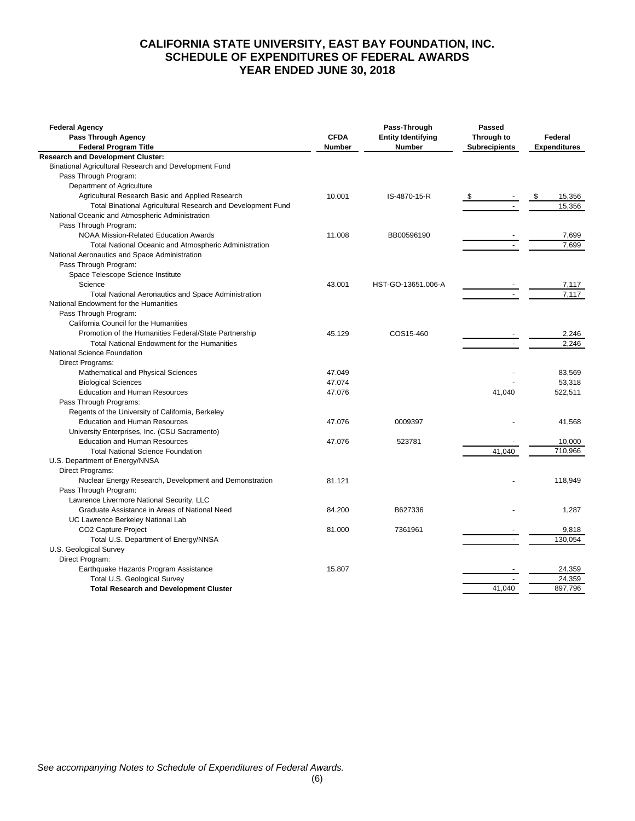## **CALIFORNIA STATE UNIVERSITY, EAST BAY FOUNDATION, INC. SCHEDULE OF EXPENDITURES OF FEDERAL AWARDS YEAR ENDED JUNE 30, 2018**

| <b>Federal Agency</b><br>Pass Through Agency                         | <b>CFDA</b>   | Pass-Through<br><b>Entity Identifying</b> | Passed<br>Through to | Federal              |
|----------------------------------------------------------------------|---------------|-------------------------------------------|----------------------|----------------------|
| <b>Federal Program Title</b>                                         | <b>Number</b> | <b>Number</b>                             | <b>Subrecipients</b> | <b>Expenditures</b>  |
| <b>Research and Development Cluster:</b>                             |               |                                           |                      |                      |
| Binational Agricultural Research and Development Fund                |               |                                           |                      |                      |
| Pass Through Program:                                                |               |                                           |                      |                      |
| Department of Agriculture                                            |               |                                           |                      |                      |
| Agricultural Research Basic and Applied Research                     | 10.001        | IS-4870-15-R                              |                      | $\sqrt{3}$<br>15,356 |
| Total Binational Agricultural Research and Development Fund          |               |                                           |                      | 15,356               |
| National Oceanic and Atmospheric Administration                      |               |                                           |                      |                      |
| Pass Through Program:                                                |               |                                           |                      |                      |
| <b>NOAA Mission-Related Education Awards</b>                         | 11.008        | BB00596190                                |                      | 7,699                |
| Total National Oceanic and Atmospheric Administration                |               |                                           |                      | 7,699                |
| National Aeronautics and Space Administration                        |               |                                           |                      |                      |
| Pass Through Program:                                                |               |                                           |                      |                      |
| Space Telescope Science Institute                                    |               |                                           |                      |                      |
| Science                                                              | 43.001        | HST-GO-13651.006-A                        |                      | 7,117                |
| Total National Aeronautics and Space Administration                  |               |                                           |                      | 7.117                |
| National Endowment for the Humanities                                |               |                                           |                      |                      |
| Pass Through Program:                                                |               |                                           |                      |                      |
| California Council for the Humanities                                |               |                                           |                      |                      |
| Promotion of the Humanities Federal/State Partnership                | 45.129        | COS15-460                                 |                      | 2,246                |
| <b>Total National Endowment for the Humanities</b>                   |               |                                           |                      | 2,246                |
| National Science Foundation                                          |               |                                           |                      |                      |
| Direct Programs:                                                     |               |                                           |                      |                      |
| Mathematical and Physical Sciences                                   | 47.049        |                                           |                      | 83,569               |
| <b>Biological Sciences</b>                                           | 47.074        |                                           |                      | 53.318               |
| <b>Education and Human Resources</b>                                 | 47.076        |                                           | 41,040               | 522,511              |
| Pass Through Programs:                                               |               |                                           |                      |                      |
| Regents of the University of California, Berkeley                    |               |                                           |                      |                      |
| <b>Education and Human Resources</b>                                 | 47.076        | 0009397                                   |                      | 41,568               |
| University Enterprises, Inc. (CSU Sacramento)                        |               |                                           |                      |                      |
| <b>Education and Human Resources</b>                                 | 47.076        | 523781                                    |                      | 10,000               |
| <b>Total National Science Foundation</b>                             |               |                                           | 41,040               | 710,966              |
| U.S. Department of Energy/NNSA                                       |               |                                           |                      |                      |
| Direct Programs:                                                     |               |                                           |                      |                      |
| Nuclear Energy Research, Development and Demonstration               | 81.121        |                                           |                      | 118,949              |
| Pass Through Program:<br>Lawrence Livermore National Security, LLC   |               |                                           |                      |                      |
| Graduate Assistance in Areas of National Need                        | 84.200        | B627336                                   |                      |                      |
|                                                                      |               |                                           |                      | 1,287                |
| UC Lawrence Berkeley National Lab<br>CO <sub>2</sub> Capture Project | 81.000        | 7361961                                   |                      | 9,818                |
|                                                                      |               |                                           |                      | 130,054              |
| Total U.S. Department of Energy/NNSA<br>U.S. Geological Survey       |               |                                           |                      |                      |
| Direct Program:                                                      |               |                                           |                      |                      |
| Earthquake Hazards Program Assistance                                | 15.807        |                                           |                      | 24,359               |
| Total U.S. Geological Survey                                         |               |                                           |                      | 24,359               |
| <b>Total Research and Development Cluster</b>                        |               |                                           | 41,040               | 897,796              |
|                                                                      |               |                                           |                      |                      |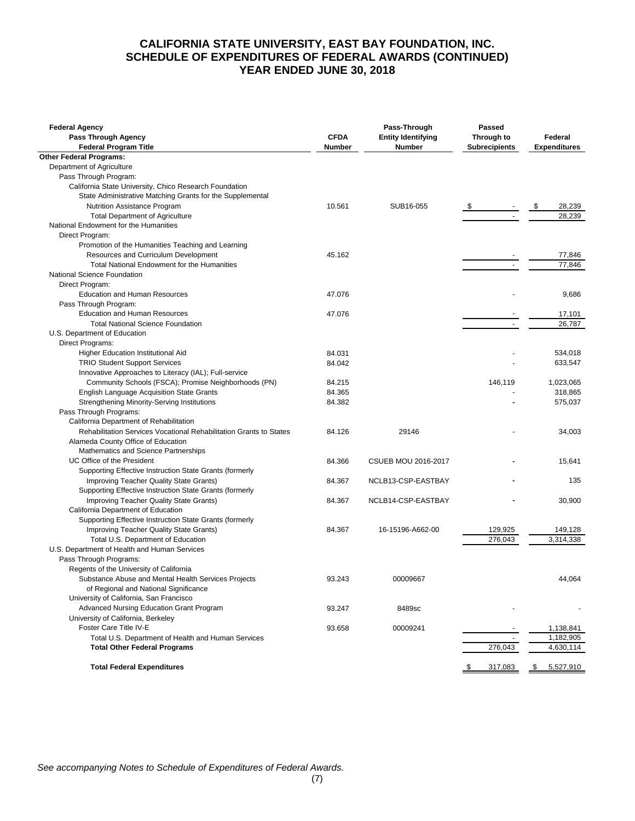#### **CALIFORNIA STATE UNIVERSITY, EAST BAY FOUNDATION, INC. SCHEDULE OF EXPENDITURES OF FEDERAL AWARDS (CONTINUED) YEAR ENDED JUNE 30, 2018**

| <b>Federal Agency</b><br>Pass Through Agency                                     | <b>CFDA</b>   | Pass-Through<br><b>Entity Identifying</b> | Passed<br>Through to | Federal             |
|----------------------------------------------------------------------------------|---------------|-------------------------------------------|----------------------|---------------------|
| <b>Federal Program Title</b>                                                     | <b>Number</b> | <b>Number</b>                             | <b>Subrecipients</b> | <b>Expenditures</b> |
| <b>Other Federal Programs:</b>                                                   |               |                                           |                      |                     |
| Department of Agriculture                                                        |               |                                           |                      |                     |
| Pass Through Program:                                                            |               |                                           |                      |                     |
| California State University, Chico Research Foundation                           |               |                                           |                      |                     |
| State Administrative Matching Grants for the Supplemental                        |               |                                           |                      |                     |
| Nutrition Assistance Program                                                     | 10.561        | SUB16-055                                 | $\mathbb{S}$         | \$<br>28,239        |
| <b>Total Department of Agriculture</b>                                           |               |                                           |                      | 28,239              |
| National Endowment for the Humanities                                            |               |                                           |                      |                     |
| Direct Program:                                                                  |               |                                           |                      |                     |
| Promotion of the Humanities Teaching and Learning                                |               |                                           |                      |                     |
| Resources and Curriculum Development                                             | 45.162        |                                           |                      | 77,846              |
| Total National Endowment for the Humanities                                      |               |                                           |                      | 77,846              |
| National Science Foundation                                                      |               |                                           |                      |                     |
| Direct Program:                                                                  |               |                                           |                      |                     |
| <b>Education and Human Resources</b>                                             | 47.076        |                                           |                      | 9,686               |
| Pass Through Program:                                                            |               |                                           |                      |                     |
| <b>Education and Human Resources</b>                                             | 47.076        |                                           |                      | 17,101              |
|                                                                                  |               |                                           |                      | 26,787              |
| <b>Total National Science Foundation</b>                                         |               |                                           |                      |                     |
| U.S. Department of Education                                                     |               |                                           |                      |                     |
| Direct Programs:                                                                 |               |                                           |                      |                     |
| Higher Education Institutional Aid                                               | 84.031        |                                           |                      | 534.018             |
| <b>TRIO Student Support Services</b>                                             | 84.042        |                                           |                      | 633,547             |
| Innovative Approaches to Literacy (IAL); Full-service                            |               |                                           |                      |                     |
| Community Schools (FSCA); Promise Neighborhoods (PN)                             | 84.215        |                                           | 146,119              | 1.023.065           |
| <b>English Language Acquisition State Grants</b>                                 | 84.365        |                                           |                      | 318,865             |
| <b>Strengthening Minority-Serving Institutions</b>                               | 84.382        |                                           |                      | 575,037             |
| Pass Through Programs:                                                           |               |                                           |                      |                     |
| California Department of Rehabilitation                                          |               |                                           |                      |                     |
| Rehabilitation Services Vocational Rehabilitation Grants to States               | 84.126        | 29146                                     |                      | 34,003              |
| Alameda County Office of Education                                               |               |                                           |                      |                     |
| Mathematics and Science Partnerships                                             |               |                                           |                      |                     |
| UC Office of the President                                                       | 84.366        | <b>CSUEB MOU 2016-2017</b>                |                      | 15,641              |
| Supporting Effective Instruction State Grants (formerly                          |               |                                           |                      |                     |
| Improving Teacher Quality State Grants)                                          | 84.367        | NCLB13-CSP-EASTBAY                        |                      | 135                 |
| Supporting Effective Instruction State Grants (formerly                          |               |                                           |                      |                     |
| Improving Teacher Quality State Grants)                                          | 84.367        | NCLB14-CSP-EASTBAY                        |                      | 30,900              |
| California Department of Education                                               |               |                                           |                      |                     |
| Supporting Effective Instruction State Grants (formerly                          |               |                                           |                      |                     |
| Improving Teacher Quality State Grants)                                          | 84.367        | 16-15196-A662-00                          | 129,925              | 149,128             |
| Total U.S. Department of Education                                               |               |                                           | 276,043              | 3,314,338           |
| U.S. Department of Health and Human Services                                     |               |                                           |                      |                     |
| Pass Through Programs:                                                           |               |                                           |                      |                     |
| Regents of the University of California                                          |               |                                           |                      |                     |
| Substance Abuse and Mental Health Services Projects                              | 93.243        | 00009667                                  |                      | 44,064              |
|                                                                                  |               |                                           |                      |                     |
| of Regional and National Significance<br>University of California, San Francisco |               |                                           |                      |                     |
|                                                                                  |               |                                           |                      |                     |
| Advanced Nursing Education Grant Program                                         | 93.247        | 8489sc                                    |                      |                     |
| University of California, Berkeley                                               |               |                                           |                      |                     |
| Foster Care Title IV-E                                                           | 93.658        | 00009241                                  |                      | 1,138,841           |
| Total U.S. Department of Health and Human Services                               |               |                                           | $\sim$               | 1,182,905           |
| <b>Total Other Federal Programs</b>                                              |               |                                           | 276,043              | 4,630,114           |
| <b>Total Federal Expenditures</b>                                                |               |                                           | 317,083              | 5,527,910           |
|                                                                                  |               |                                           |                      |                     |

*See accompanying Notes to Schedule of Expenditures of Federal Awards.*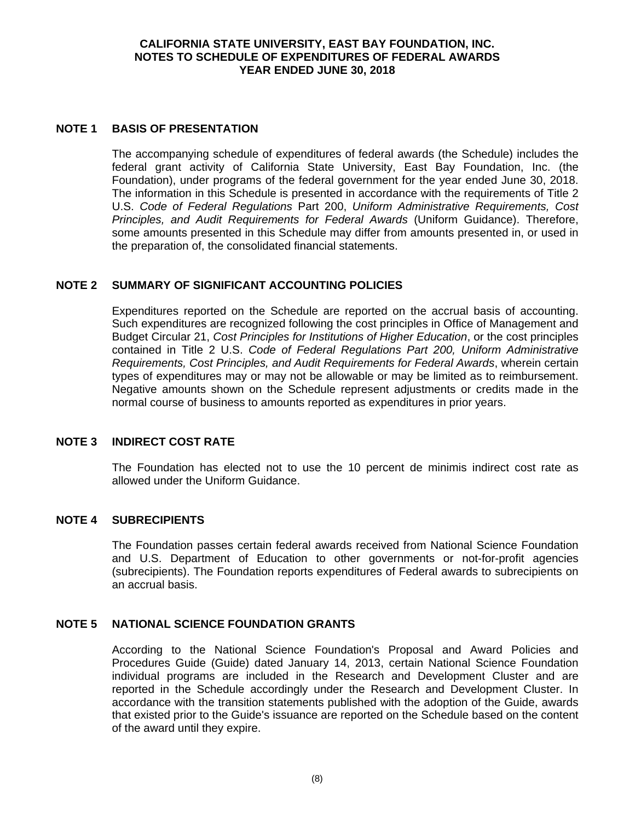#### **CALIFORNIA STATE UNIVERSITY, EAST BAY FOUNDATION, INC. NOTES TO SCHEDULE OF EXPENDITURES OF FEDERAL AWARDS YEAR ENDED JUNE 30, 2018**

#### **NOTE 1 BASIS OF PRESENTATION**

The accompanying schedule of expenditures of federal awards (the Schedule) includes the federal grant activity of California State University, East Bay Foundation, Inc. (the Foundation), under programs of the federal government for the year ended June 30, 2018. The information in this Schedule is presented in accordance with the requirements of Title 2 U.S. *Code of Federal Regulations* Part 200, *Uniform Administrative Requirements, Cost Principles, and Audit Requirements for Federal Awards* (Uniform Guidance). Therefore, some amounts presented in this Schedule may differ from amounts presented in, or used in the preparation of, the consolidated financial statements.

## **NOTE 2 SUMMARY OF SIGNIFICANT ACCOUNTING POLICIES**

Expenditures reported on the Schedule are reported on the accrual basis of accounting. Such expenditures are recognized following the cost principles in Office of Management and Budget Circular 21, *Cost Principles for Institutions of Higher Education*, or the cost principles contained in Title 2 U.S. *Code of Federal Regulations Part 200, Uniform Administrative Requirements, Cost Principles, and Audit Requirements for Federal Awards*, wherein certain types of expenditures may or may not be allowable or may be limited as to reimbursement. Negative amounts shown on the Schedule represent adjustments or credits made in the normal course of business to amounts reported as expenditures in prior years.

#### **NOTE 3 INDIRECT COST RATE**

The Foundation has elected not to use the 10 percent de minimis indirect cost rate as allowed under the Uniform Guidance.

#### **NOTE 4 SUBRECIPIENTS**

The Foundation passes certain federal awards received from National Science Foundation and U.S. Department of Education to other governments or not-for-profit agencies (subrecipients). The Foundation reports expenditures of Federal awards to subrecipients on an accrual basis.

#### **NOTE 5 NATIONAL SCIENCE FOUNDATION GRANTS**

According to the National Science Foundation's Proposal and Award Policies and Procedures Guide (Guide) dated January 14, 2013, certain National Science Foundation individual programs are included in the Research and Development Cluster and are reported in the Schedule accordingly under the Research and Development Cluster. In accordance with the transition statements published with the adoption of the Guide, awards that existed prior to the Guide's issuance are reported on the Schedule based on the content of the award until they expire.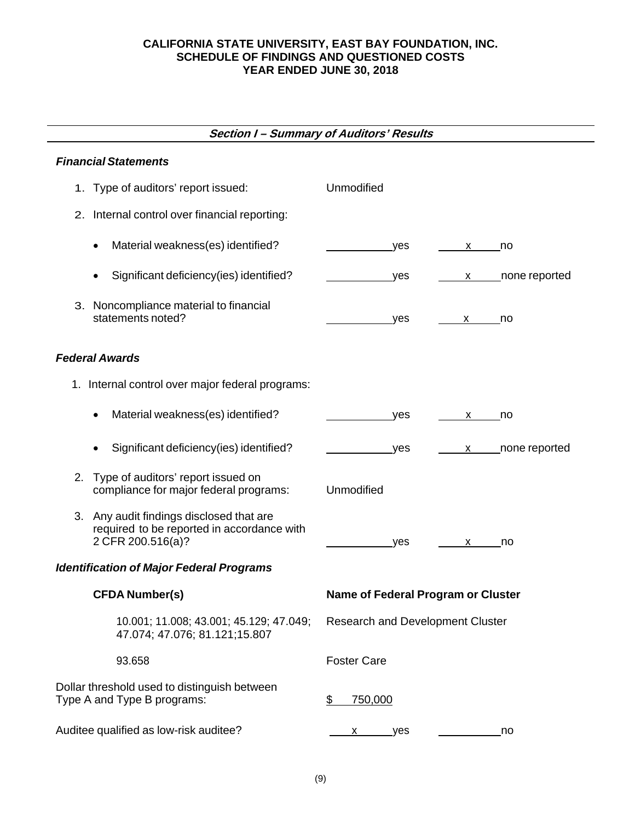## **CALIFORNIA STATE UNIVERSITY, EAST BAY FOUNDATION, INC. SCHEDULE OF FINDINGS AND QUESTIONED COSTS YEAR ENDED JUNE 30, 2018**

# **Section I – Summary of Auditors' Results**

# *Financial Statements*

| 1. Type of auditors' report issued:                                                                         | Unmodified                                                                                                                                                                                                                                                                                                    |
|-------------------------------------------------------------------------------------------------------------|---------------------------------------------------------------------------------------------------------------------------------------------------------------------------------------------------------------------------------------------------------------------------------------------------------------|
| 2. Internal control over financial reporting:                                                               |                                                                                                                                                                                                                                                                                                               |
| Material weakness(es) identified?<br>$\bullet$                                                              | yes<br>$\overline{p}$<br>X and the set of the set of the set of the set of the set of the set of the set of the set of the set of the set of the set of the set of the set of the set of the set of the set of the set of the set of the set of the set                                                       |
| Significant deficiency(ies) identified?<br>$\bullet$                                                        | x _____ none reported<br>_yes                                                                                                                                                                                                                                                                                 |
| 3. Noncompliance material to financial<br>statements noted?                                                 | yes<br>x no                                                                                                                                                                                                                                                                                                   |
| <b>Federal Awards</b>                                                                                       |                                                                                                                                                                                                                                                                                                               |
| 1. Internal control over major federal programs:                                                            |                                                                                                                                                                                                                                                                                                               |
| Material weakness(es) identified?<br>$\bullet$                                                              | yes<br>no<br>X and the set of the set of the set of the set of the set of the set of the set of the set of the set of the set of the set of the set of the set of the set of the set of the set of the set of the set of the set of the set                                                                   |
| Significant deficiency(ies) identified?<br>٠                                                                | x _____ none reported<br>_yes                                                                                                                                                                                                                                                                                 |
| Type of auditors' report issued on<br>2.<br>compliance for major federal programs:                          | Unmodified                                                                                                                                                                                                                                                                                                    |
| 3. Any audit findings disclosed that are<br>required to be reported in accordance with<br>2 CFR 200.516(a)? | yes<br>no<br>$\mathsf{X}$ and $\mathsf{X}$ and $\mathsf{X}$ and $\mathsf{X}$ are $\mathsf{X}$ and $\mathsf{X}$ and $\mathsf{X}$ are $\mathsf{X}$ and $\mathsf{X}$ are $\mathsf{X}$ and $\mathsf{X}$ are $\mathsf{X}$ and $\mathsf{X}$ are $\mathsf{X}$ and $\mathsf{X}$ are $\mathsf{X}$ and $\mathsf{X}$ are |
| <b>Identification of Major Federal Programs</b>                                                             |                                                                                                                                                                                                                                                                                                               |
| <b>CFDA Number(s)</b>                                                                                       | Name of Federal Program or Cluster                                                                                                                                                                                                                                                                            |
| 10.001; 11.008; 43.001; 45.129; 47.049;<br>47.074; 47.076; 81.121;15.807                                    | <b>Research and Development Cluster</b>                                                                                                                                                                                                                                                                       |
| 93.658                                                                                                      | <b>Foster Care</b>                                                                                                                                                                                                                                                                                            |
| Dollar threshold used to distinguish between<br>Type A and Type B programs:                                 | 750,000<br>\$                                                                                                                                                                                                                                                                                                 |
| Auditee qualified as low-risk auditee?                                                                      | no<br>yes<br>х                                                                                                                                                                                                                                                                                                |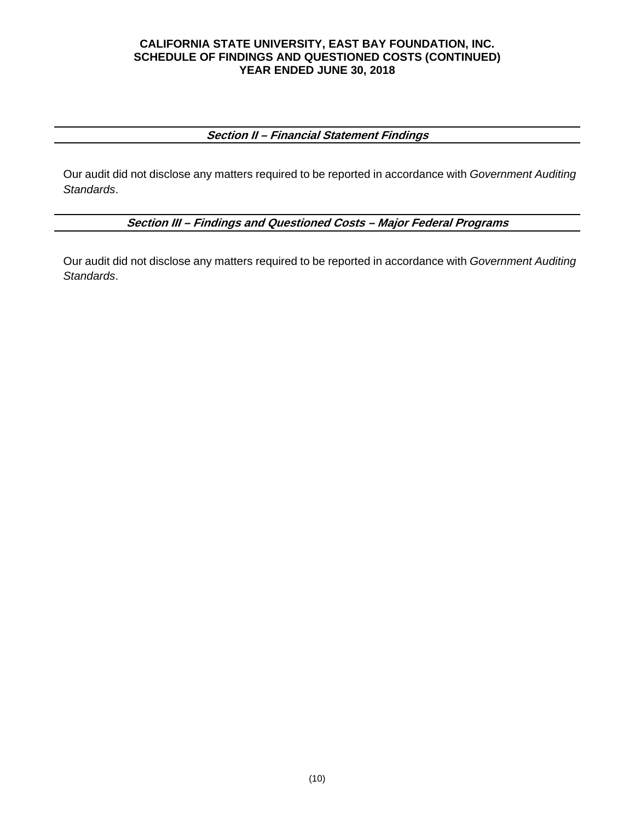#### **CALIFORNIA STATE UNIVERSITY, EAST BAY FOUNDATION, INC. SCHEDULE OF FINDINGS AND QUESTIONED COSTS (CONTINUED) YEAR ENDED JUNE 30, 2018**

## **Section II – Financial Statement Findings**

Our audit did not disclose any matters required to be reported in accordance with *Government Auditing Standards*.

**Section III – Findings and Questioned Costs – Major Federal Programs** 

Our audit did not disclose any matters required to be reported in accordance with *Government Auditing Standards*.